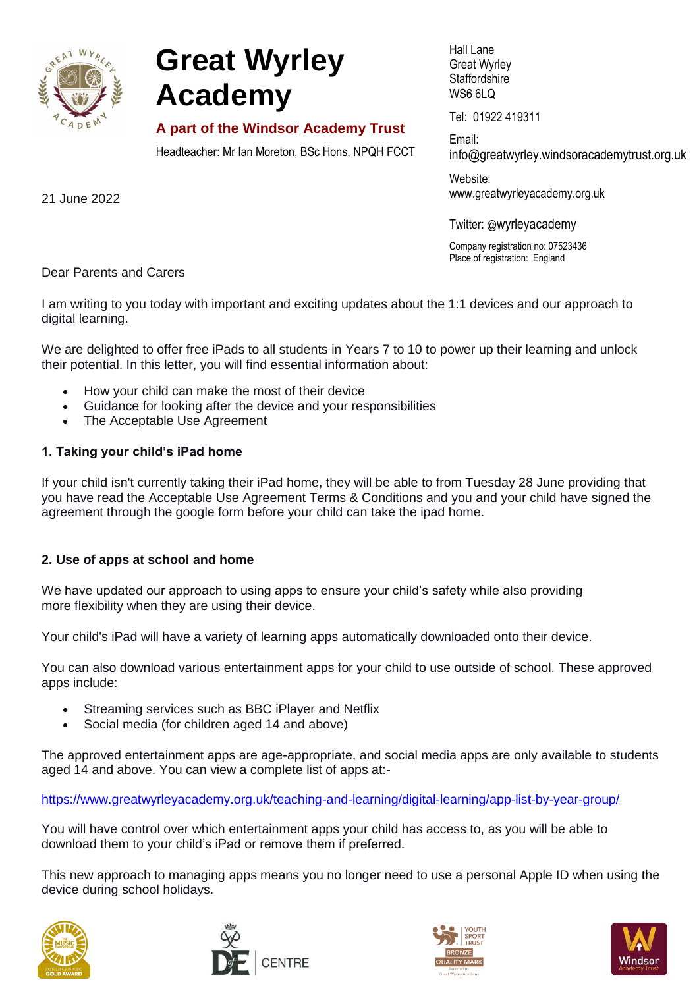

21 June 2022

# **Great Wyrley Academy**

# **A part of the Windsor Academy Trust**

Headteacher: Mr Ian Moreton, BSc Hons, NPQH FCCT

Hall Lane Great Wyrley **Staffordshire**  $WSS6$  6LQ

Tel: 01922 419311

Email: info@greatwyrley.windsoracademytrust.org.uk

Website: www.greatwyrleyacademy.org.uk

Twitter: @wyrleyacademy

Company registration no: 07523436 Place of registration: England

Dear Parents and Carers

I am writing to you today with important and exciting updates about the 1:1 devices and our approach to digital learning.

We are delighted to offer free iPads to all students in Years 7 to 10 to power up their learning and unlock their potential. In this letter, you will find essential information about:

- How your child can make the most of their device
- Guidance for looking after the device and your responsibilities
- The Acceptable Use Agreement

# **1. Taking your child's iPad home**

If your child isn't currently taking their iPad home, they will be able to from Tuesday 28 June providing that you have read the Acceptable Use Agreement Terms & Conditions and you and your child have signed the agreement through the google form before your child can take the ipad home.

# **2. Use of apps at school and home**

We have updated our approach to using apps to ensure your child's safety while also providing more flexibility when they are using their device.

Your child's iPad will have a variety of learning apps automatically downloaded onto their device.

You can also download various entertainment apps for your child to use outside of school. These approved apps include:

- Streaming services such as BBC iPlayer and Netflix
- Social media (for children aged 14 and above)

The approved entertainment apps are age-appropriate, and social media apps are only available to students aged 14 and above. You can view a complete list of apps at:-

<https://www.greatwyrleyacademy.org.uk/teaching-and-learning/digital-learning/app-list-by-year-group/>

You will have control over which entertainment apps your child has access to, as you will be able to download them to your child's iPad or remove them if preferred.

This new approach to managing apps means you no longer need to use a personal Apple ID when using the device during school holidays.